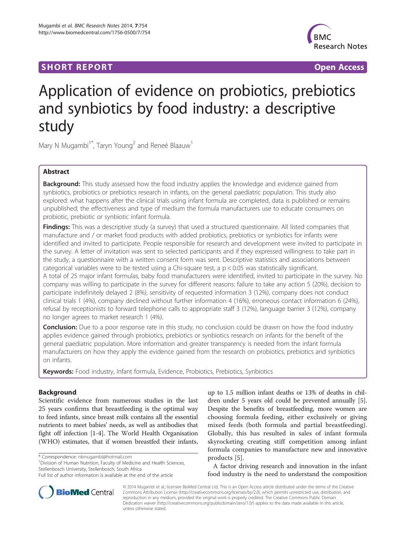# **SHORT REPORT CONTRACT CONTRACT CONTRACT CONTRACT CONTRACT CONTRACT CONTRACT CONTRACT CONTRACT CONTRACT CONTRACT CONTRACT CONTRACT CONTRACT CONTRACT CONTRACT CONTRACT CONTRACT CONTRACT CONTRACT CONTRACT CONTRACT CONTRACT C**



# Application of evidence on probiotics, prebiotics and synbiotics by food industry: a descriptive study

Mary N Mugambi<sup>1\*</sup>, Taryn Young<sup>2</sup> and Reneé Blaauw<sup>1</sup>

# Abstract

Background: This study assessed how the food industry applies the knowledge and evidence gained from synbiotics, probiotics or prebiotics research in infants, on the general paediatric population. This study also explored: what happens after the clinical trials using infant formula are completed, data is published or remains unpublished; the effectiveness and type of medium the formula manufacturers use to educate consumers on probiotic, prebiotic or synbiotic infant formula.

Findings: This was a descriptive study (a survey) that used a structured questionnaire. All listed companies that manufacture and / or market food products with added probiotics, prebiotics or synbiotics for infants were identified and invited to participate. People responsible for research and development were invited to participate in the survey. A letter of invitation was sent to selected participants and if they expressed willingness to take part in the study, a questionnaire with a written consent form was sent. Descriptive statistics and associations between categorical variables were to be tested using a Chi-square test, a p < 0.05 was statistically significant. A total of 25 major infant formulas, baby food manufacturers were identified, invited to participate in the survey. No company was willing to participate in the survey for different reasons: failure to take any action 5 (20%), decision to participate indefinitely delayed 2 (8%), sensitivity of requested information 3 (12%), company does not conduct clinical trials 1 (4%), company declined without further information 4 (16%), erroneous contact information 6 (24%), refusal by receptionists to forward telephone calls to appropriate staff 3 (12%), language barrier 3 (12%), company no longer agrees to market research 1 (4%).

**Conclusion:** Due to a poor response rate in this study, no conclusion could be drawn on how the food industry applies evidence gained through probiotics, prebiotics or synbiotics research on infants for the benefit of the general paediatric population. More information and greater transparency is needed from the infant formula manufacturers on how they apply the evidence gained from the research on probiotics, prebiotics and synbiotics on infants.

Keywords: Food industry, Infant formula, Evidence, Probiotics, Prebiotics, Synbiotics

# Background

Scientific evidence from numerous studies in the last 25 years confirms that breastfeeding is the optimal way to feed infants, since breast milk contains all the essential nutrients to meet babies' needs, as well as antibodies that fight off infection [[1-4\]](#page-6-0). The World Health Organisation (WHO) estimates, that if women breastfed their infants,

\* Correspondence: [nkmugambi@hotmail.com](mailto:nkmugambi@hotmail.com) <sup>1</sup>

<sup>1</sup> Division of Human Nutrition, Faculty of Medicine and Health Sciences, Stellenbosch University, Stellenbosch, South Africa

up to 1.5 million infant deaths or 13% of deaths in children under 5 years old could be prevented annually [[5](#page-6-0)]. Despite the benefits of breastfeeding, more women are choosing formula feeding, either exclusively or giving mixed feeds (both formula and partial breastfeeding). Globally, this has resulted in sales of infant formula skyrocketing creating stiff competition among infant formula companies to manufacture new and innovative products [[5\]](#page-6-0).

A factor driving research and innovation in the infant food industry is the need to understand the composition



© 2014 Mugambi et al.; licensee BioMed Central Ltd. This is an Open Access article distributed under the terms of the Creative Commons Attribution License [\(http://creativecommons.org/licenses/by/2.0\)](http://creativecommons.org/licenses/by/2.0), which permits unrestricted use, distribution, and reproduction in any medium, provided the original work is properly credited. The Creative Commons Public Domain Dedication waiver [\(http://creativecommons.org/publicdomain/zero/1.0/](http://creativecommons.org/publicdomain/zero/1.0/)) applies to the data made available in this article, unless otherwise stated.

Full list of author information is available at the end of the article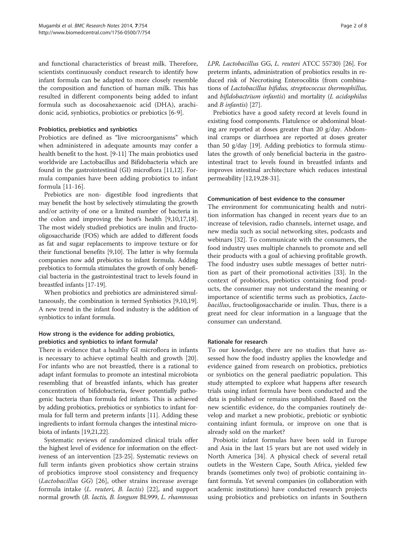and functional characteristics of breast milk. Therefore, scientists continuously conduct research to identify how infant formula can be adapted to more closely resemble the composition and function of human milk. This has resulted in different components being added to infant formula such as docosahexaenoic acid (DHA), arachidonic acid, synbiotics, probiotics or prebiotics [\[6-9](#page-6-0)].

#### Probiotics, prebiotics and synbiotics

Probiotics are defined as "live microorganisms" which when administered in adequate amounts may confer a health benefit to the host. [[9-11\]](#page-6-0) The main probiotics used worldwide are Lactobacillus and Bifidobacteria which are found in the gastrointestinal (GI) microflora [[11,12\]](#page-6-0). Formula companies have been adding probiotics to infant formula [[11-16](#page-6-0)].

Prebiotics are non- digestible food ingredients that may benefit the host by selectively stimulating the growth and/or activity of one or a limited number of bacteria in the colon and improving the host's health [\[9,10,17,18](#page-6-0)]. The most widely studied prebiotics are inulin and fructooligosaccharide (FOS) which are added to different foods as fat and sugar replacements to improve texture or for their functional benefits [\[9,10\]](#page-6-0). The latter is why formula companies now add prebiotics to infant formula. Adding prebiotics to formula stimulates the growth of only beneficial bacteria in the gastrointestinal tract to levels found in breastfed infants [\[17](#page-6-0)-[19](#page-6-0)].

When probiotics and prebiotics are administered simultaneously, the combination is termed Synbiotics [\[9,10,19](#page-6-0)]. A new trend in the infant food industry is the addition of synbiotics to infant formula.

## How strong is the evidence for adding probiotics, prebiotics and synbiotics to infant formula?

There is evidence that a healthy GI microflora in infants is necessary to achieve optimal health and growth [\[20](#page-6-0)]. For infants who are not breastfed, there is a rational to adapt infant formulas to promote an intestinal microbiota resembling that of breastfed infants, which has greater concentration of bifidobacteria, fewer potentially pathogenic bacteria than formula fed infants. This is achieved by adding probiotics, prebiotics or synbiotics to infant formula for full term and preterm infants [\[11\]](#page-6-0). Adding these ingredients to infant formula changes the intestinal microbiota of infants [[19,21,22\]](#page-6-0).

Systematic reviews of randomized clinical trials offer the highest level of evidence for information on the effectiveness of an intervention [\[23-25\]](#page-6-0). Systematic reviews on full term infants given probiotics show certain strains of probiotics improve stool consistency and frequency (Lactobacillus GG) [[26](#page-6-0)], other strains increase average formula intake (L. reuteri, B. lactis) [[22\]](#page-6-0), and support normal growth (B. lactis, B. longum BL999, L. rhamnosus LPR, Lactobacillus GG, L. reuteri ATCC 55730) [[26](#page-6-0)]. For preterm infants, administration of probiotics results in reduced risk of Necrotising Enterocolitis (from combinations of Lactobacillus bifidus, streptococcus thermophillus, and bifidobactrium infantis) and mortality (L acidophilus and B infantis) [\[27\]](#page-6-0).

Prebiotics have a good safety record at levels found in existing food components. Flatulence or abdominal bloating are reported at doses greater than 20 g/day. Abdominal cramps or diarrhoea are reported at doses greater than 50 g/day [\[19\]](#page-6-0). Adding prebiotics to formula stimulates the growth of only beneficial bacteria in the gastrointestinal tract to levels found in breastfed infants and improves intestinal architecture which reduces intestinal permeability [\[12,19](#page-6-0)[,28](#page-7-0)-[31](#page-7-0)].

#### Communication of best evidence to the consumer

The environment for communicating health and nutrition information has changed in recent years due to an increase of television, radio channels, internet usage, and new media such as social networking sites, podcasts and webinars [\[32](#page-7-0)]. To communicate with the consumers, the food industry uses multiple channels to promote and sell their products with a goal of achieving profitable growth. The food industry uses subtle messages of better nutrition as part of their promotional activities [[33\]](#page-7-0). In the context of probiotics, prebiotics containing food products, the consumer may not understand the meaning or importance of scientific terms such as probiotics, Lactobacillus, fructooligosaccharide or inulin. Thus, there is a great need for clear information in a language that the consumer can understand.

#### Rationale for research

To our knowledge, there are no studies that have assessed how the food industry applies the knowledge and evidence gained from research on probiotics, prebiotics or synbiotics on the general paediatric population. This study attempted to explore what happens after research trials using infant formula have been conducted and the data is published or remains unpublished. Based on the new scientific evidence, do the companies routinely develop and market a new probiotic, prebiotic or synbiotic containing infant formula, or improve on one that is already sold on the market?

Probiotic infant formulas have been sold in Europe and Asia in the last 15 years but are not used widely in North America [\[34](#page-7-0)]. A physical check of several retail outlets in the Western Cape, South Africa, yielded few brands (sometimes only two) of probiotic containing infant formula. Yet several companies (in collaboration with academic institutions) have conducted research projects using probiotics and prebiotics on infants in Southern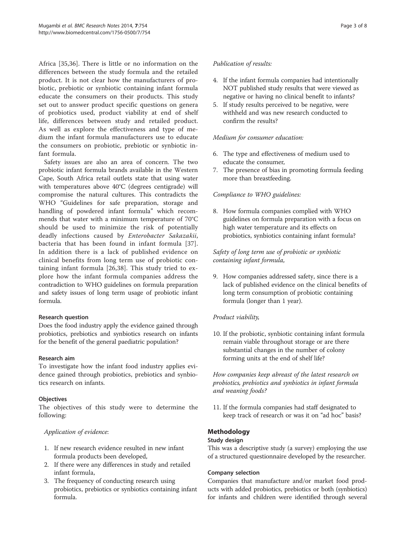Africa [\[35,36](#page-7-0)]. There is little or no information on the differences between the study formula and the retailed product. It is not clear how the manufacturers of probiotic, prebiotic or synbiotic containing infant formula educate the consumers on their products. This study set out to answer product specific questions on genera of probiotics used, product viability at end of shelf life, differences between study and retailed product. As well as explore the effectiveness and type of medium the infant formula manufacturers use to educate the consumers on probiotic, prebiotic or synbiotic infant formula.

Safety issues are also an area of concern. The two probiotic infant formula brands available in the Western Cape, South Africa retail outlets state that using water with temperatures above 40°C (degrees centigrade) will compromise the natural cultures. This contradicts the WHO "Guidelines for safe preparation, storage and handling of powdered infant formula" which recommends that water with a minimum temperature of 70°C should be used to minimize the risk of potentially deadly infections caused by Enterobacter Sakazakii, bacteria that has been found in infant formula [[37](#page-7-0)]. In addition there is a lack of published evidence on clinical benefits from long term use of probiotic containing infant formula [\[26](#page-6-0),[38\]](#page-7-0). This study tried to explore how the infant formula companies address the contradiction to WHO guidelines on formula preparation and safety issues of long term usage of probiotic infant formula.

## Research question

Does the food industry apply the evidence gained through probiotics, prebiotics and synbiotics research on infants for the benefit of the general paediatric population?

## Research aim

To investigate how the infant food industry applies evidence gained through probiotics, prebiotics and synbiotics research on infants.

## **Objectives**

The objectives of this study were to determine the following:

# Application of evidence:

- 1. If new research evidence resulted in new infant formula products been developed,
- 2. If there were any differences in study and retailed infant formula,
- 3. The frequency of conducting research using probiotics, prebiotics or synbiotics containing infant formula.

## Publication of results:

- 4. If the infant formula companies had intentionally NOT published study results that were viewed as negative or having no clinical benefit to infants?
- 5. If study results perceived to be negative, were withheld and was new research conducted to confirm the results?

# Medium for consumer education:

- 6. The type and effectiveness of medium used to educate the consumer,
- 7. The presence of bias in promoting formula feeding more than breastfeeding.

## Compliance to WHO guidelines:

8. How formula companies complied with WHO guidelines on formula preparation with a focus on high water temperature and its effects on probiotics, synbiotics containing infant formula?

# Safety of long term use of probiotic or synbiotic containing infant formula,

9. How companies addressed safety, since there is a lack of published evidence on the clinical benefits of long term consumption of probiotic containing formula (longer than 1 year).

# Product viability,

10. If the probiotic, synbiotic containing infant formula remain viable throughout storage or are there substantial changes in the number of colony forming units at the end of shelf life?

How companies keep abreast of the latest research on probiotics, prebiotics and synbiotics in infant formula and weaning foods?

11. If the formula companies had staff designated to keep track of research or was it on "ad hoc" basis?

# Methodology

## Study design

This was a descriptive study (a survey) employing the use of a structured questionnaire developed by the researcher.

## Company selection

Companies that manufacture and/or market food products with added probiotics, prebiotics or both (synbiotics) for infants and children were identified through several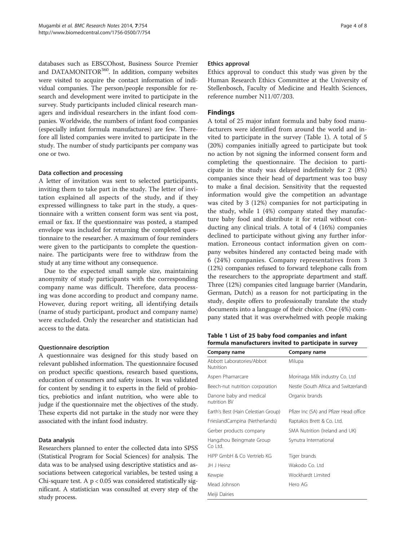databases such as EBSCOhost, Business Source Premier and DATAMONITOR<sup>360</sup>. In addition, company websites were visited to acquire the contact information of individual companies. The person/people responsible for research and development were invited to participate in the survey. Study participants included clinical research managers and individual researchers in the infant food companies. Worldwide, the numbers of infant food companies (especially infant formula manufactures) are few. Therefore all listed companies were invited to participate in the study. The number of study participants per company was one or two.

#### Data collection and processing

A letter of invitation was sent to selected participants, inviting them to take part in the study. The letter of invitation explained all aspects of the study, and if they expressed willingness to take part in the study, a questionnaire with a written consent form was sent via post, email or fax. If the questionnaire was posted, a stamped envelope was included for returning the completed questionnaire to the researcher. A maximum of four reminders were given to the participants to complete the questionnaire. The participants were free to withdraw from the study at any time without any consequence.

Due to the expected small sample size, maintaining anonymity of study participants with the corresponding company name was difficult. Therefore, data processing was done according to product and company name. However, during report writing, all identifying details (name of study participant, product and company name) were excluded. Only the researcher and statistician had access to the data.

#### Questionnaire description

A questionnaire was designed for this study based on relevant published information. The questionnaire focused on product specific questions, research based questions, education of consumers and safety issues. It was validated for content by sending it to experts in the field of probiotics, prebiotics and infant nutrition, who were able to judge if the questionnaire met the objectives of the study. These experts did not partake in the study nor were they associated with the infant food industry.

## Data analysis

Researchers planned to enter the collected data into SPSS (Statistical Program for Social Sciences) for analysis. The data was to be analysed using descriptive statistics and associations between categorical variables, be tested using a Chi-square test. A  $p < 0.05$  was considered statistically significant. A statistician was consulted at every step of the study process.

#### Ethics approval

Ethics approval to conduct this study was given by the Human Research Ethics Committee at the University of Stellenbosch, Faculty of Medicine and Health Sciences, reference number N11/07/203.

#### Findings

A total of 25 major infant formula and baby food manufacturers were identified from around the world and invited to participate in the survey (Table 1). A total of 5 (20%) companies initially agreed to participate but took no action by not signing the informed consent form and completing the questionnaire. The decision to participate in the study was delayed indefinitely for 2 (8%) companies since their head of department was too busy to make a final decision. Sensitivity that the requested information would give the competition an advantage was cited by 3 (12%) companies for not participating in the study, while 1 (4%) company stated they manufacture baby food and distribute it for retail without conducting any clinical trials. A total of 4 (16%) companies declined to participate without giving any further information. Erroneous contact information given on company websites hindered any contacted being made with 6 (24%) companies. Company representatives from 3 (12%) companies refused to forward telephone calls from the researchers to the appropriate department and staff. Three (12%) companies cited language barrier (Mandarin, German, Dutch) as a reason for not participating in the study, despite offers to professionally translate the study documents into a language of their choice. One (4%) company stated that it was overwhelmed with people making

#### Table 1 List of 25 baby food companies and infant formula manufacturers invited to participate in survey

| Company name                            | Company name                           |
|-----------------------------------------|----------------------------------------|
| Abbott Laboratories/Abbot<br>Nutrition  | Milupa                                 |
| Aspen Phamarcare                        | Morinaga Milk industry Co. Ltd         |
| Beech-nut nutrition corporation         | Nestle (South Africa and Switzerland)  |
| Danone baby and medical<br>nutrition BV | Organix brands                         |
| Earth's Best (Hain Celestian Group)     | Pfizer Inc (SA) and Pfizer Head office |
| FrieslandCampina (Netherlands)          | Raptakos Brett & Co. Ltd.              |
| Gerber products company                 | SMA Nutrition (Ireland and UK)         |
| Hangzhou Beingmate Group<br>Co Ltd.     | Synutra International                  |
| HiPP GmbH & Co Vertrieb KG              | Tiger brands                           |
| JH J Heinz                              | Wakodo Co. I td                        |
| Kewpie                                  | Wockhardt Limited                      |
| Mead Johnson                            | Hero AG                                |
| Meiji Dairies                           |                                        |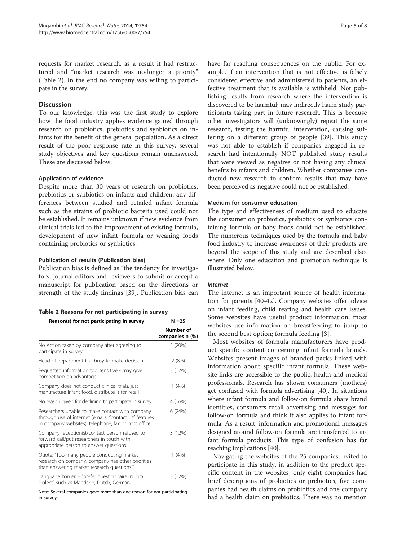requests for market research, as a result it had restructured and "market research was no-longer a priority" (Table 2). In the end no company was willing to participate in the survey.

#### **Discussion**

To our knowledge, this was the first study to explore how the food industry applies evidence gained through research on probiotics, prebiotics and synbiotics on infants for the benefit of the general population. As a direct result of the poor response rate in this survey, several study objectives and key questions remain unanswered. These are discussed below.

#### Application of evidence

Despite more than 30 years of research on probiotics, prebiotics or synbiotics on infants and children, any differences between studied and retailed infant formula such as the strains of probiotic bacteria used could not be established. It remains unknown if new evidence from clinical trials led to the improvement of existing formula, development of new infant formula or weaning foods containing probiotics or synbiotics.

#### Publication of results (Publication bias)

Publication bias is defined as "the tendency for investigators, journal editors and reviewers to submit or accept a manuscript for publication based on the directions or strength of the study findings [[39\]](#page-7-0). Publication bias can

| Reason(s) for not participating in survey                                                                                                                         | $N = 25$                     |
|-------------------------------------------------------------------------------------------------------------------------------------------------------------------|------------------------------|
|                                                                                                                                                                   | Number of<br>companies n (%) |
| No Action taken by company after agreeing to<br>participate in survey                                                                                             | 5 (20%)                      |
| Head of department too busy to make decision                                                                                                                      | 2(8%)                        |
| Requested information too sensitive - may give<br>competition an advantage                                                                                        | 3(12%)                       |
| Company does not conduct clinical trials, just<br>manufacture infant food, distribute it for retail                                                               | 1(4%)                        |
| No reason given for declining to participate in survey                                                                                                            | 4 (16%)                      |
| Researchers unable to make contact with company<br>through use of internet (emails, "contact us" features<br>in company websites), telephone, fax or post office. | 6(24%)                       |
| Company receptionist/contact person refused to<br>forward call/put researchers in touch with<br>appropriate person to answer questions                            | 3(12%)                       |
| Quote: "Too many people conducting market<br>research on company, company has other priorities<br>than answering market research questions."                      | 1(4%)                        |
| Language barrier – "prefer questionnaire in local<br>dialect" such as Mandarin, Dutch, German.                                                                    | 3(12%)                       |

Note: Several companies gave more than one reason for not participating in survey.

have far reaching consequences on the public. For example, if an intervention that is not effective is falsely considered effective and administered to patients, an effective treatment that is available is withheld. Not publishing results from research where the intervention is discovered to be harmful; may indirectly harm study participants taking part in future research. This is because other investigators will (unknowingly) repeat the same research, testing the harmful intervention, causing suffering on a different group of people [[39\]](#page-7-0). This study was not able to establish if companies engaged in research had intentionally NOT published study results that were viewed as negative or not having any clinical benefits to infants and children. Whether companies conducted new research to confirm results that may have been perceived as negative could not be established.

#### Medium for consumer education

The type and effectiveness of medium used to educate the consumer on probiotics, prebiotics or synbiotics containing formula or baby foods could not be established. The numerous techniques used by the formula and baby food industry to increase awareness of their products are beyond the scope of this study and are described elsewhere. Only one education and promotion technique is illustrated below.

#### Internet

The internet is an important source of health information for parents [\[40](#page-7-0)-[42](#page-7-0)]. Company websites offer advice on infant feeding, child rearing and health care issues. Some websites have useful product information, most websites use information on breastfeeding to jump to the second best option; formula feeding [[3](#page-6-0)].

Most websites of formula manufacturers have product specific content concerning infant formula brands. Websites present images of branded packs linked with information about specific infant formula. These website links are accessible to the public, health and medical professionals. Research has shown consumers (mothers) get confused with formula advertising [[40](#page-7-0)]. In situations where infant formula and follow-on formula share brand identities, consumers recall advertising and messages for follow-on formula and think it also applies to infant formula. As a result, information and promotional messages designed around follow-on formula are transferred to infant formula products. This type of confusion has far reaching implications [\[40\]](#page-7-0).

Navigating the websites of the 25 companies invited to participate in this study, in addition to the product specific content in the websites, only eight companies had brief descriptions of probiotics or prebiotics, five companies had health claims on probiotics and one company had a health claim on prebiotics. There was no mention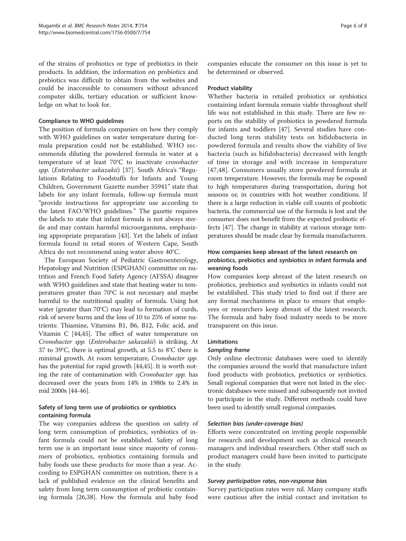of the strains of probiotics or type of prebiotics in their products. In addition, the information on probiotics and prebiotics was difficult to obtain from the websites and could be inaccessible to consumers without advanced computer skills, tertiary education or sufficient knowledge on what to look for.

#### Compliance to WHO guidelines

The position of formula companies on how they comply with WHO guidelines on water temperature during formula preparation could not be established. WHO recommends diluting the powdered formula in water at a temperature of at least 70°C to inactivate cronobacter spp. (Enterobacter sakazakii) [[37\]](#page-7-0). South Africa's "Regulations Relating to Foodstuffs for Infants and Young Children, Government Gazette number 35941" state that labels for any infant formula, follow-up formula must "provide instructions for appropriate use according to the latest FAO/WHO guidelines." The gazette requires the labels to state that infant formula is not always sterile and may contain harmful microorganisms, emphasizing appropriate preparation [\[43\]](#page-7-0). Yet the labels of infant formula found in retail stores of Western Cape, South Africa do not recommend using water above 40°C.

The European Society of Pediatric Gastroenterology, Hepatology and Nutrition (ESPGHAN) committee on nutrition and French Food Safety Agency (AFSSA) disagree with WHO guidelines and state that heating water to temperatures greater than 70°C is not necessary and maybe harmful to the nutritional quality of formula. Using hot water (greater than 70°C) may lead to formation of curds, risk of severe burns and the loss of 10 to 25% of some nutrients: Thiamine, Vitamins B1, B6, B12, Folic acid, and Vitamin C [\[44,45\]](#page-7-0). The effect of water temperature on Cronobacter spp. (Enterobacter sakazakii) is striking. At 37 to 39°C, there is optimal growth, at 5.5 to 8°C there is minimal growth. At room temperature, Cronobacter spp. has the potential for rapid growth [\[44,45\]](#page-7-0). It is worth noting the rate of contamination with Cronobacter spp. has decreased over the years from 14% in 1980s to 2.4% in mid 2000s [[44](#page-7-0)-[46](#page-7-0)].

## Safety of long term use of probiotics or synbiotics containing formula

The way companies address the question on safety of long term consumption of probiotics, synbiotics of infant formula could not be established. Safety of long term use is an important issue since majority of consumers of probiotics, synbiotics containing formula and baby foods use these products for more than a year. According to ESPGHAN committee on nutrition, there is a lack of published evidence on the clinical benefits and safety from long term consumption of probiotic containing formula [\[26](#page-6-0)[,38\]](#page-7-0). How the formula and baby food

companies educate the consumer on this issue is yet to be determined or observed.

#### Product viability

Whether bacteria in retailed probiotics or synbiotics containing infant formula remain viable throughout shelf life was not established in this study. There are few reports on the stability of probiotics in powdered formula for infants and toddlers [\[47](#page-7-0)]. Several studies have conducted long term stability tests on bifidobacteria in powdered formula and results show the viability of live bacteria (such as bifidobacteria) decreased with length of time in storage and with increase in temperature [[47,48\]](#page-7-0). Consumers usually store powdered formula at room temperature. However, the formula may be exposed to high temperatures during transportation, during hot seasons or, in countries with hot weather conditions. If there is a large reduction in viable cell counts of probiotic bacteria, the commercial use of the formula is lost and the consumer does not benefit from the expected probiotic effects [[47](#page-7-0)]. The change in stability at various storage temperatures should be made clear by formula manufacturers.

# How companies keep abreast of the latest research on probiotics, prebiotics and synbiotics in infant formula and weaning foods

How companies keep abreast of the latest research on probiotics, prebiotics and synbiotics in infants could not be established. This study tried to find out if there are any formal mechanisms in place to ensure that employees or researchers keep abreast of the latest research. The formula and baby food industry needs to be more transparent on this issue.

## Limitations

#### Sampling frame

Only online electronic databases were used to identify the companies around the world that manufacture infant food products with probiotics, prebiotics or synbiotics. Small regional companies that were not listed in the electronic databases were missed and subsequently not invited to participate in the study. Different methods could have been used to identify small regional companies.

#### Selection bias (under-coverage bias)

Efforts were concentrated on inviting people responsible for research and development such as clinical research managers and individual researchers. Other staff such as product managers could have been invited to participate in the study.

#### Survey participation rates, non-response bias

Survey participation rates were nil. Many company staffs were cautious after the initial contact and invitation to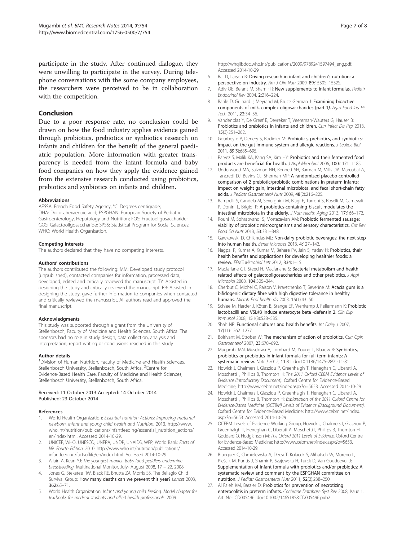<span id="page-6-0"></span>participate in the study. After continued dialogue, they were unwilling to participate in the survey. During telephone conversations with the some company employees, the researchers were perceived to be in collaboration with the competition.

#### Conclusion

Due to a poor response rate, no conclusion could be drawn on how the food industry applies evidence gained through probiotics, prebiotics or synbiotics research on infants and children for the benefit of the general paediatric population. More information with greater transparency is needed from the infant formula and baby food companies on how they apply the evidence gained from the extensive research conducted using probiotics, prebiotics and synbiotics on infants and children.

#### Abbreviations

AFSSA: French Food Safety Agency; °C: Degrees centigrade; DHA: Docosahexaenoic acid; ESPGHAN: European Society of Pediatric Gastroenterology, Hepatology and Nutrition; FOS: Fructooligosaccharide; GOS: Galactooligosaccharide; SPSS: Statistical Program for Social Sciences; WHO: World Health Organisation.

#### Competing interests

The authors declared that they have no competing interests.

#### Authors' contributions

The authors contributed the following: MM: Developed study protocol (unpublished), contacted companies for information, processed data, developed, edited and critically reviewed the manuscript. TY: Assisted in designing the study and critically reviewed the manuscript. RB: Assisted in designing the study, gave further information to companies when contacted and critically reviewed the manuscript. All authors read and approved the final manuscript.

#### Acknowledgments

This study was supported through a grant from the University of Stellenbosch, Faculty of Medicine and Health Sciences. South Africa. The sponsors had no role in study design, data collection, analysis and interpretation, report writing or conclusions reached in this study.

#### Author details

<sup>1</sup> Division of Human Nutrition, Faculty of Medicine and Health Sciences, Stellenbosch University, Stellenbosch, South Africa. <sup>2</sup>Centre for Evidence-Based Health Care, Faculty of Medicine and Health Sciences, Stellenbosch University, Stellenbosch, South Africa.

#### Received: 11 October 2013 Accepted: 14 October 2014 Published: 23 October 2014

#### References

- 1. World Health Organization: Essential nutrition Actions: Improving maternal, newborn, infant and young child health and Nutrition. 2013. [http://www.](http://www.who.int/nutrition/publications/infantfeeding/essential_nutrition_actions/en/index.html) [who.int/nutrition/publications/infantfeeding/essential\\_nutrition\\_actions/](http://www.who.int/nutrition/publications/infantfeeding/essential_nutrition_actions/en/index.html) [en/index.html](http://www.who.int/nutrition/publications/infantfeeding/essential_nutrition_actions/en/index.html). Accessed 2014-10-29.
- 2. UNICEF, WHO, UNESCO, UNFPA, UNDP, UNAIDS, WFP, World Bank: Facts of life. Fourth Edition. 2010. [http://www.who.int/nutrition/publications/](http://www.who.int/nutrition/publications/infantfeeding/factsoflife/en/index.html) [infantfeeding/factsoflife/en/index.html.](http://www.who.int/nutrition/publications/infantfeeding/factsoflife/en/index.html) Accessed 2014-10-29.
- 3. Allain A, Kean YJ: The youngest market. Baby food peddlers undermine breastfeeding, Multinational Monitor. July- August 2008, 17 – 22. 2008.
- 4. Jones G, Steketee RW, Black RE, Bhutta ZA, Morris SS, The Bellagio Child Survival Group: How many deaths can we prevent this year? Lancet 2003, 362:65–71.
- 5. World Health Organization: Infant and young child feeding. Model chapter for textbooks for medical students and allied health professionals. 2009.

[http://whqlibdoc.who.int/publications/2009/9789241597494\\_eng.pdf.](http://whqlibdoc.who.int/publications/2009/9789241597494_eng.pdf) Accessed 2014-10-29.

- 6. Rai D, Larson B: Driving research in infant and children's nutrition: a perspective on industry. Am J Clin Nutr 2009, 89:1530S-1532S.
- 7. Adiv OE, Berant M, Shamir R: New supplements to infant formulas. Pediatr Endocrinol Rev 2004, 2:216–224.
- 8. Barile D, Guinard J, Meyrand M, Bruce German J: Examining bioactive components of milk. complex oligosaccharides (part 1). Agro Food Ind Hi Tech 2011, 22:34–36.
- 9. Vandenplas Y, De Greef E, Devreker T, Veereman-Wauters G, Hauser B: Probiotics and prebiotics in infants and children. Curr Infect Dis Rep 2013, 15(3):251–262.
- 10. Gourbeyre P, Denery S, Bodinier M: Probiotics, prebiotics, and synbiotics: Impact on the gut immune system and allergic reactions. J Leukoc Biol 2011, 89(5):685–695.
- 11. Parvez S, Malik KA, Kang SA, Kim HY: Probiotics and their fermented food products are beneficial for health. J Appl Microbiol 2006, 100:1171-1185.
- 12. Underwood MA, Salzman NH, Bennett SH, Barman M, Mills DA, Marcobal A, Tancredi DJ, Bevins CL, Sherman MP: A randomized placebo-controlled comparison of 2 prebiotic/probiotic combinations in preterm infants: Impact on weight gain, intestinal microbiota, and fecal short-chain fatty acids. J Pediatr Gastroenterol Nutr 2009, 48(2):216-225.
- 13. Rampelli S, Candela M, Severgnini M, Biagi E, Turroni S, Roselli M, Carnevali P, Donini L, Brigidi P: A probiotics-containing biscuit modulates the intestinal microbiota in the elderly. J Nutr Health Aging 2013, 17:166–172.
- 14. Rouhi M, Sohrabvandi S, Mortazavian AM: Probiotic fermented sausage: viability of probiotic microorganisms and sensory characteristics. Crit Rev Food Sci Nutr 2013, 53:331–348.
- 15. Gawkowski D, Chikindas ML: Non-dairy probiotic beverages: the next step into human health. Benef Microbes 2013, 4:127–142.
- 16. Nagpal R, Kumar A, Kumar M, Behare PV, Jain S, Yadav H: Probiotics, their health benefits and applications for developing healthier foods: a review. FEMS Microbiol Lett 2012, 334:1–15.
- 17. Macfarlane GT, Steed H, Macfarlane S: Bacterial metabolism and health related effects of galactooligosaccharides and other prebiotics. J Appl Microbiol 2008, 104:305–344.
- 18. Cherbut C, Michel C, Raison V, Kravtchenko T, Severine M: Acacia gum is a bifidogenic dietary fibre with high digestive tolerance in healthy humans. Microb Ecol health dis 2003, 15(1):43–50.
- 19. Schlee M, Harder J, Köten B, Stange EF, Wehkamp J, Fellermann K: Probiotic lactobacilli and VSL#3 induce enterocyte beta -defensin 2. Clin Exp Immunol 2008, 151(3):528–535.
- 20. Shah NP: Functional cultures and health benefits. Int Dairy J 2007, 17(11):1262–1277.
- 21. Boirivant M, Strober W: The mechanism of action of probiotics. Curr Opin Gastroenterol 2007, 23:670–692.
- 22. Mugambi MN, Musekiwa A, Lombard M, Young T, Blaauw R: Synbiotics, probiotics or prebiotics in infant formula for full term infants: A systematic review. Nutr J 2012, 11:81. doi:10.1186/1475-2891-11-81.
- 23. Howick J, Chalmers I, Glasziou P, Greenhalgh T, Heneghan C, Liberati A, Moschetti I, Phillips B, Thornton H: The 2011 Oxford CEBM Evidence Levels of Evidence (Introductory Document). Oxford Centre for Evidence-Based Medicine; [http://www.cebm.net/index.aspx?o=5653.](http://www.cebm.net/index.aspx?o=5653) Accessed 2014-10-29.
- 24. Howick J, Chalmers I, Glasziou P, Greenhalgh T, Heneghan C, Liberati A, Moschetti I, Phillips B, Thornton H: Explanation of the 2011 Oxford Centre for Evidence-Based Medicine (OCEBM) Levels of Evidence (Background Document). Oxford Centre for Evidence-Based Medicine; [http://www.cebm.net/index.](http://www.cebm.net/index.aspx?o=5653) [aspx?o=5653.](http://www.cebm.net/index.aspx?o=5653) Accessed 2014-10-29.
- 25. OCEBM Levels of Evidence Working Group, Howick J, Chalmers I, Glasziou P, Greenhalgh T, Heneghan C, Liberati A, Moschetti I, Phillips B, Thornton H, Goddard O, Hodgkinson M: The Oxford 2011 Levels of Evidence. Oxford Centre for Evidence-Based Medicine;<http://www.cebm.net/index.aspx?o=5653>. Accessed 2014-10-29.
- 26. Braegger C, Chmielewska A, Decsi T, Kolacek S, Mihatsch W, Moreno L, Pieścik M, Puntis J, Shamir R, Szajewska H, Turck D, Van Goudoever J: Supplementation of infant formula with probiotics and/or prebiotics: A systematic review and comment by the ESPGHAN committee on nutrition. J Pediatr Gastroenterol Nutr 2011, 52(2):238–250.
- 27. Al Faleh KM, Bassler D: Probiotics for prevention of necrotizing enterocolitis in preterm infants. Cochrane Database Syst Rev 2008, Issue 1. Art. No.: CD005496. doi:10.1002/14651858.CD005496.pub2.